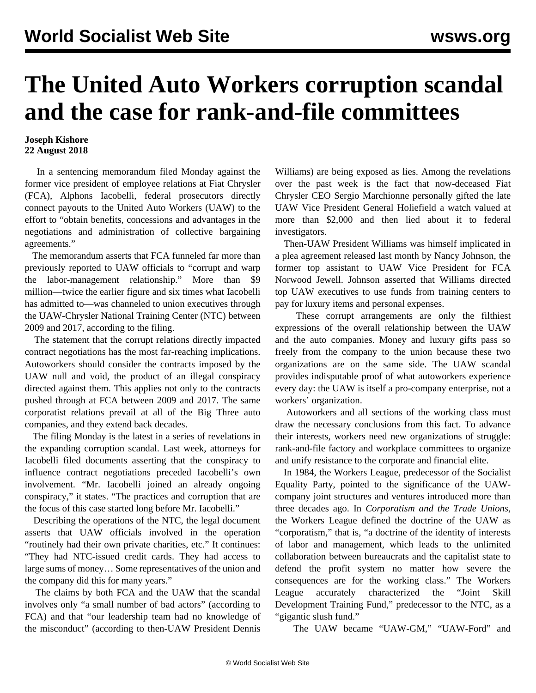## **The United Auto Workers corruption scandal and the case for rank-and-file committees**

## **Joseph Kishore 22 August 2018**

 In a sentencing memorandum filed Monday against the former vice president of employee relations at Fiat Chrysler (FCA), Alphons Iacobelli, federal prosecutors directly connect payouts to the United Auto Workers (UAW) to the effort to "obtain benefits, concessions and advantages in the negotiations and administration of collective bargaining agreements."

 The memorandum asserts that FCA funneled far more than previously reported to UAW officials to "corrupt and warp the labor-management relationship." More than \$9 million—twice the earlier figure and six times what Iacobelli has admitted to—was channeled to union executives through the UAW-Chrysler National Training Center (NTC) between 2009 and 2017, according to the filing.

 The statement that the corrupt relations directly impacted contract negotiations has the most far-reaching implications. Autoworkers should consider the contracts imposed by the UAW null and void, the product of an illegal conspiracy directed against them. This applies not only to the contracts pushed through at FCA between 2009 and 2017. The same corporatist relations prevail at all of the Big Three auto companies, and they extend back decades.

 The filing Monday is the latest in a series of revelations in the expanding corruption scandal. Last week, attorneys for Iacobelli filed documents asserting that the conspiracy to influence contract negotiations preceded Iacobelli's own involvement. "Mr. Iacobelli joined an already ongoing conspiracy," it states. "The practices and corruption that are the focus of this case started long before Mr. Iacobelli."

 Describing the operations of the NTC, the legal document asserts that UAW officials involved in the operation "routinely had their own private charities, etc." It continues: "They had NTC-issued credit cards. They had access to large sums of money… Some representatives of the union and the company did this for many years."

 The claims by both FCA and the UAW that the scandal involves only "a small number of bad actors" (according to FCA) and that "our leadership team had no knowledge of the misconduct" (according to then-UAW President Dennis Williams) are being exposed as lies. Among the revelations over the past week is the fact that now-deceased Fiat Chrysler CEO Sergio Marchionne personally gifted the late UAW Vice President General Holiefield a watch valued at more than \$2,000 and then lied about it to federal investigators.

 Then-UAW President Williams was himself implicated in a plea agreement released last month by Nancy Johnson, the former top assistant to UAW Vice President for FCA Norwood Jewell. Johnson asserted that Williams directed top UAW executives to use funds from training centers to pay for luxury items and personal expenses.

 These corrupt arrangements are only the filthiest expressions of the overall relationship between the UAW and the auto companies. Money and luxury gifts pass so freely from the company to the union because these two organizations are on the same side. The UAW scandal provides indisputable proof of what autoworkers experience every day: the UAW is itself a pro-company enterprise, not a workers' organization.

 Autoworkers and all sections of the working class must draw the necessary conclusions from this fact. To advance their interests, workers need new organizations of struggle: rank-and-file factory and workplace committees to organize and unify resistance to the corporate and financial elite.

 In 1984, the Workers League, predecessor of the Socialist Equality Party, pointed to the significance of the UAWcompany joint structures and ventures introduced more than three decades ago. In *Corporatism and the Trade Unions*, the Workers League defined the doctrine of the UAW as "corporatism," that is, "a doctrine of the identity of interests of labor and management, which leads to the unlimited collaboration between bureaucrats and the capitalist state to defend the profit system no matter how severe the consequences are for the working class." The Workers League accurately characterized the "Joint Skill Development Training Fund," predecessor to the NTC, as a "gigantic slush fund."

The UAW became "UAW-GM," "UAW-Ford" and